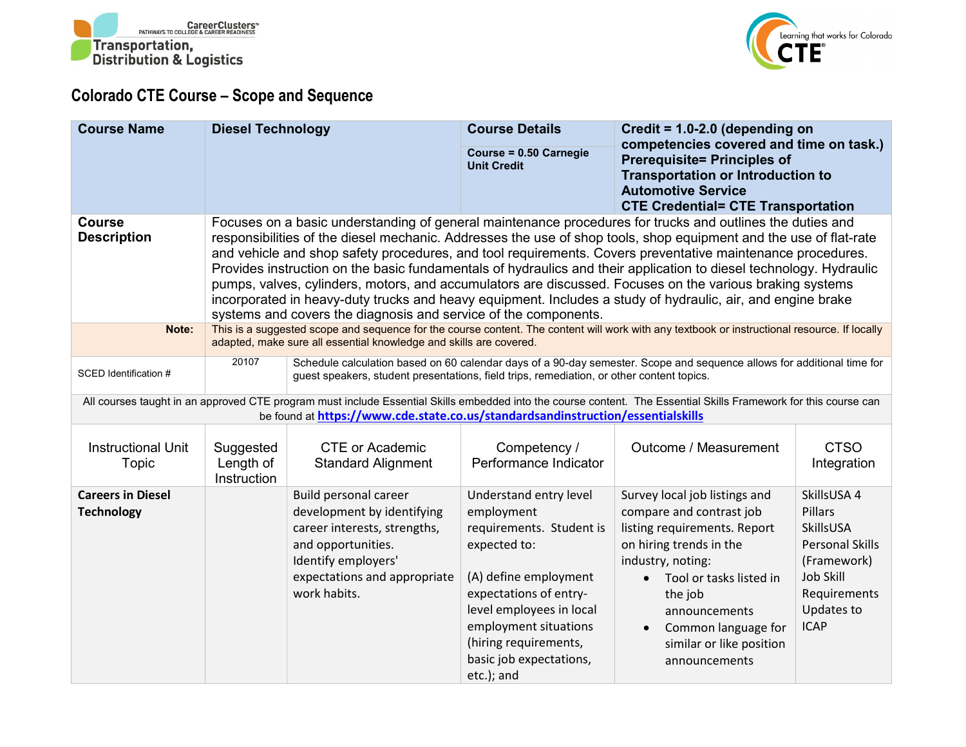



## **Colorado CTE Course – Scope and Sequence**

| <b>Course Name</b>                            | <b>Diesel Technology</b>                                                                                                                                                                                                                                                                                                                                                                                                                                                                                                                                                                                                                                                                                                                                         |                                                                                                                                                                                                                     | <b>Course Details</b><br>Course = 0.50 Carnegie                                                                                                                                                                                                            | Credit = $1.0 - 2.0$ (depending on<br>competencies covered and time on task.)                                                                                                                                                                                                                  |                                                                                                                                               |
|-----------------------------------------------|------------------------------------------------------------------------------------------------------------------------------------------------------------------------------------------------------------------------------------------------------------------------------------------------------------------------------------------------------------------------------------------------------------------------------------------------------------------------------------------------------------------------------------------------------------------------------------------------------------------------------------------------------------------------------------------------------------------------------------------------------------------|---------------------------------------------------------------------------------------------------------------------------------------------------------------------------------------------------------------------|------------------------------------------------------------------------------------------------------------------------------------------------------------------------------------------------------------------------------------------------------------|------------------------------------------------------------------------------------------------------------------------------------------------------------------------------------------------------------------------------------------------------------------------------------------------|-----------------------------------------------------------------------------------------------------------------------------------------------|
|                                               |                                                                                                                                                                                                                                                                                                                                                                                                                                                                                                                                                                                                                                                                                                                                                                  |                                                                                                                                                                                                                     | <b>Unit Credit</b>                                                                                                                                                                                                                                         | <b>Prerequisite= Principles of</b><br><b>Transportation or Introduction to</b>                                                                                                                                                                                                                 |                                                                                                                                               |
|                                               |                                                                                                                                                                                                                                                                                                                                                                                                                                                                                                                                                                                                                                                                                                                                                                  |                                                                                                                                                                                                                     |                                                                                                                                                                                                                                                            | <b>Automotive Service</b><br><b>CTE Credential= CTE Transportation</b>                                                                                                                                                                                                                         |                                                                                                                                               |
| <b>Course</b><br><b>Description</b>           | Focuses on a basic understanding of general maintenance procedures for trucks and outlines the duties and<br>responsibilities of the diesel mechanic. Addresses the use of shop tools, shop equipment and the use of flat-rate<br>and vehicle and shop safety procedures, and tool requirements. Covers preventative maintenance procedures.<br>Provides instruction on the basic fundamentals of hydraulics and their application to diesel technology. Hydraulic<br>pumps, valves, cylinders, motors, and accumulators are discussed. Focuses on the various braking systems<br>incorporated in heavy-duty trucks and heavy equipment. Includes a study of hydraulic, air, and engine brake<br>systems and covers the diagnosis and service of the components. |                                                                                                                                                                                                                     |                                                                                                                                                                                                                                                            |                                                                                                                                                                                                                                                                                                |                                                                                                                                               |
| Note:                                         |                                                                                                                                                                                                                                                                                                                                                                                                                                                                                                                                                                                                                                                                                                                                                                  | This is a suggested scope and sequence for the course content. The content will work with any textbook or instructional resource. If locally<br>adapted, make sure all essential knowledge and skills are covered.  |                                                                                                                                                                                                                                                            |                                                                                                                                                                                                                                                                                                |                                                                                                                                               |
| SCED Identification #                         | 20107                                                                                                                                                                                                                                                                                                                                                                                                                                                                                                                                                                                                                                                                                                                                                            | Schedule calculation based on 60 calendar days of a 90-day semester. Scope and sequence allows for additional time for<br>guest speakers, student presentations, field trips, remediation, or other content topics. |                                                                                                                                                                                                                                                            |                                                                                                                                                                                                                                                                                                |                                                                                                                                               |
|                                               |                                                                                                                                                                                                                                                                                                                                                                                                                                                                                                                                                                                                                                                                                                                                                                  | be found at https://www.cde.state.co.us/standardsandinstruction/essentialskills                                                                                                                                     |                                                                                                                                                                                                                                                            | All courses taught in an approved CTE program must include Essential Skills embedded into the course content. The Essential Skills Framework for this course can                                                                                                                               |                                                                                                                                               |
| <b>Instructional Unit</b><br>Topic            | Suggested<br>Length of<br>Instruction                                                                                                                                                                                                                                                                                                                                                                                                                                                                                                                                                                                                                                                                                                                            | <b>CTE or Academic</b><br><b>Standard Alignment</b>                                                                                                                                                                 | Competency /<br>Performance Indicator                                                                                                                                                                                                                      | Outcome / Measurement                                                                                                                                                                                                                                                                          | <b>CTSO</b><br>Integration                                                                                                                    |
| <b>Careers in Diesel</b><br><b>Technology</b> |                                                                                                                                                                                                                                                                                                                                                                                                                                                                                                                                                                                                                                                                                                                                                                  | <b>Build personal career</b><br>development by identifying<br>career interests, strengths,<br>and opportunities.<br>Identify employers'<br>expectations and appropriate<br>work habits.                             | Understand entry level<br>employment<br>requirements. Student is<br>expected to:<br>(A) define employment<br>expectations of entry-<br>level employees in local<br>employment situations<br>(hiring requirements,<br>basic job expectations,<br>etc.); and | Survey local job listings and<br>compare and contrast job<br>listing requirements. Report<br>on hiring trends in the<br>industry, noting:<br>Tool or tasks listed in<br>$\bullet$<br>the job<br>announcements<br>Common language for<br>$\bullet$<br>similar or like position<br>announcements | SkillsUSA 4<br>Pillars<br>SkillsUSA<br><b>Personal Skills</b><br>(Framework)<br><b>Job Skill</b><br>Requirements<br>Updates to<br><b>ICAP</b> |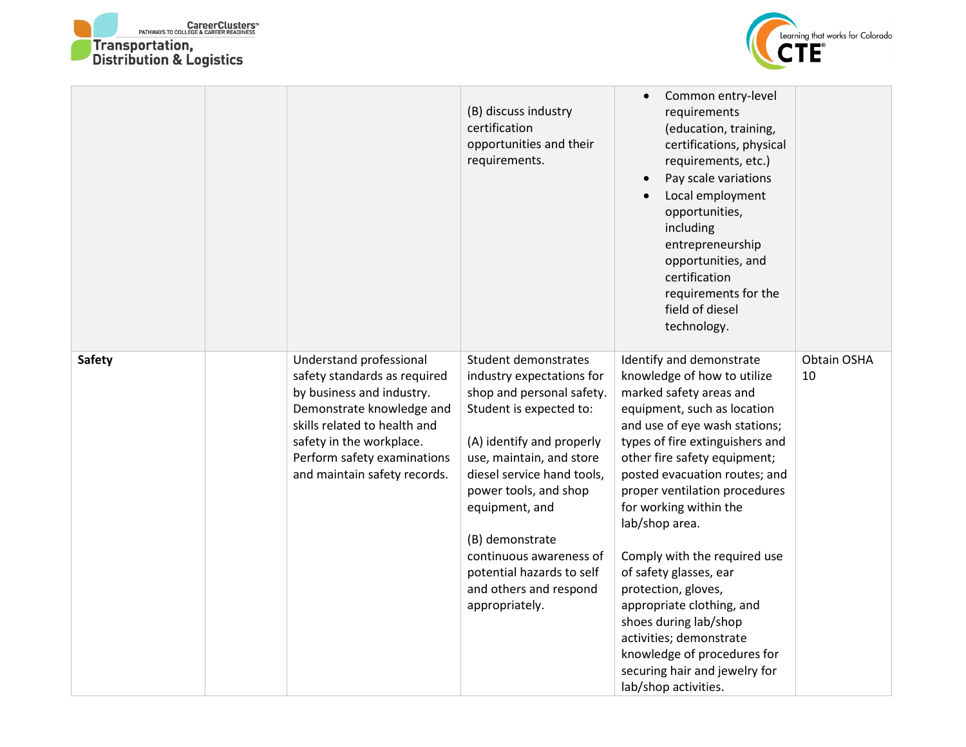



|               |                                                                                                                                                                                                                                              | (B) discuss industry<br>certification<br>opportunities and their<br>requirements.                                                                                                                                                                                                                                                                                  | Common entry-level<br>requirements<br>(education, training,<br>certifications, physical<br>requirements, etc.)<br>Pay scale variations<br>Local employment<br>opportunities,<br>including<br>entrepreneurship<br>opportunities, and<br>certification<br>requirements for the<br>field of diesel<br>technology.                                                                                                                                                                                                                                                                                |                   |
|---------------|----------------------------------------------------------------------------------------------------------------------------------------------------------------------------------------------------------------------------------------------|--------------------------------------------------------------------------------------------------------------------------------------------------------------------------------------------------------------------------------------------------------------------------------------------------------------------------------------------------------------------|-----------------------------------------------------------------------------------------------------------------------------------------------------------------------------------------------------------------------------------------------------------------------------------------------------------------------------------------------------------------------------------------------------------------------------------------------------------------------------------------------------------------------------------------------------------------------------------------------|-------------------|
| <b>Safety</b> | Understand professional<br>safety standards as required<br>by business and industry.<br>Demonstrate knowledge and<br>skills related to health and<br>safety in the workplace.<br>Perform safety examinations<br>and maintain safety records. | Student demonstrates<br>industry expectations for<br>shop and personal safety.<br>Student is expected to:<br>(A) identify and properly<br>use, maintain, and store<br>diesel service hand tools,<br>power tools, and shop<br>equipment, and<br>(B) demonstrate<br>continuous awareness of<br>potential hazards to self<br>and others and respond<br>appropriately. | Identify and demonstrate<br>knowledge of how to utilize<br>marked safety areas and<br>equipment, such as location<br>and use of eye wash stations;<br>types of fire extinguishers and<br>other fire safety equipment;<br>posted evacuation routes; and<br>proper ventilation procedures<br>for working within the<br>lab/shop area.<br>Comply with the required use<br>of safety glasses, ear<br>protection, gloves,<br>appropriate clothing, and<br>shoes during lab/shop<br>activities; demonstrate<br>knowledge of procedures for<br>securing hair and jewelry for<br>lab/shop activities. | Obtain OSHA<br>10 |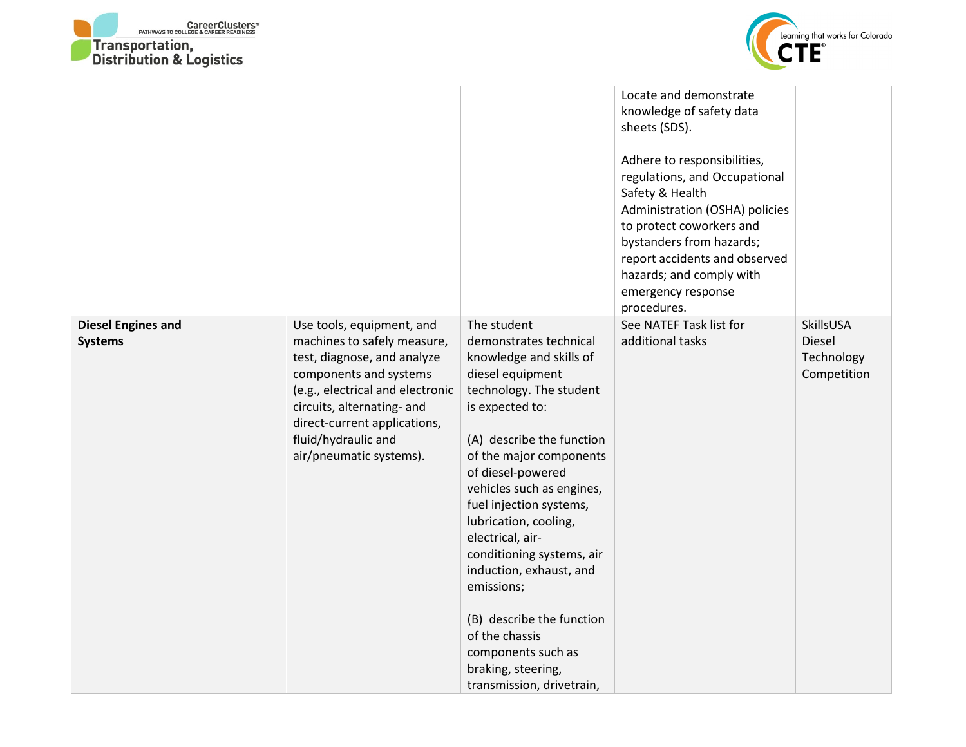



|                                             |                                                                                                                                                                                                                                                                       |                                                                                                                                                                                                                                                                                                                                                                                                                                                                                                                    | Locate and demonstrate<br>knowledge of safety data<br>sheets (SDS).<br>Adhere to responsibilities,<br>regulations, and Occupational<br>Safety & Health<br>Administration (OSHA) policies<br>to protect coworkers and<br>bystanders from hazards;<br>report accidents and observed<br>hazards; and comply with<br>emergency response<br>procedures. |                                                  |
|---------------------------------------------|-----------------------------------------------------------------------------------------------------------------------------------------------------------------------------------------------------------------------------------------------------------------------|--------------------------------------------------------------------------------------------------------------------------------------------------------------------------------------------------------------------------------------------------------------------------------------------------------------------------------------------------------------------------------------------------------------------------------------------------------------------------------------------------------------------|----------------------------------------------------------------------------------------------------------------------------------------------------------------------------------------------------------------------------------------------------------------------------------------------------------------------------------------------------|--------------------------------------------------|
| <b>Diesel Engines and</b><br><b>Systems</b> | Use tools, equipment, and<br>machines to safely measure,<br>test, diagnose, and analyze<br>components and systems<br>(e.g., electrical and electronic<br>circuits, alternating- and<br>direct-current applications,<br>fluid/hydraulic and<br>air/pneumatic systems). | The student<br>demonstrates technical<br>knowledge and skills of<br>diesel equipment<br>technology. The student<br>is expected to:<br>(A) describe the function<br>of the major components<br>of diesel-powered<br>vehicles such as engines,<br>fuel injection systems,<br>lubrication, cooling,<br>electrical, air-<br>conditioning systems, air<br>induction, exhaust, and<br>emissions;<br>(B) describe the function<br>of the chassis<br>components such as<br>braking, steering,<br>transmission, drivetrain, | See NATEF Task list for<br>additional tasks                                                                                                                                                                                                                                                                                                        | SkillsUSA<br>Diesel<br>Technology<br>Competition |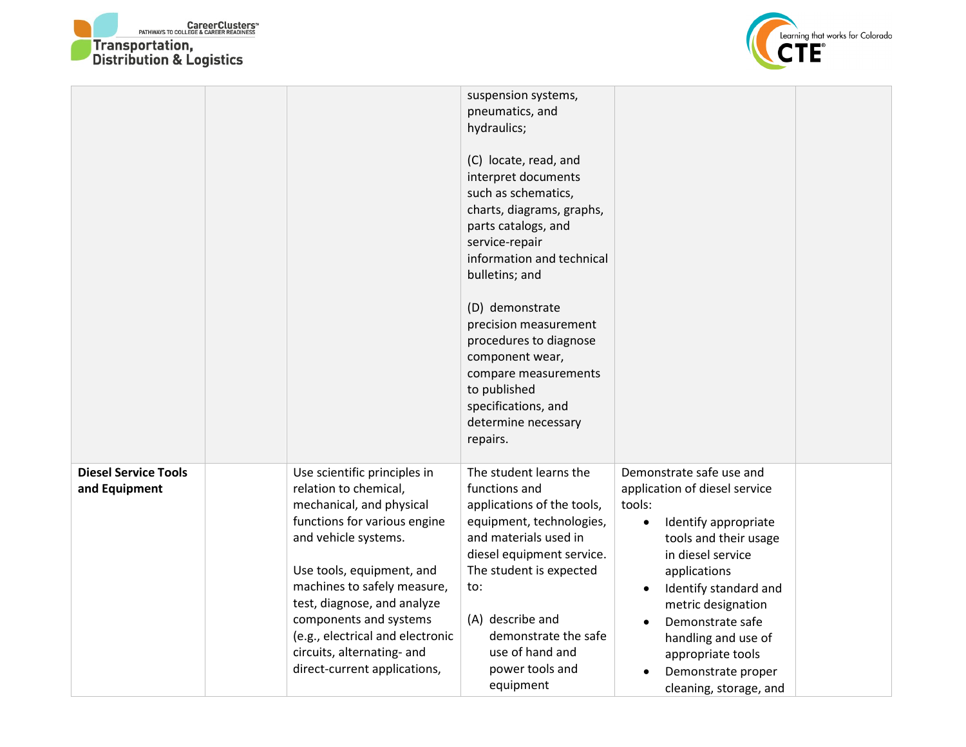



|                                              |                                                                                                                                                                                                                                                                                                                                                                  | suspension systems,<br>pneumatics, and<br>hydraulics;<br>(C) locate, read, and<br>interpret documents<br>such as schematics,<br>charts, diagrams, graphs,<br>parts catalogs, and<br>service-repair<br>information and technical<br>bulletins; and<br>(D) demonstrate<br>precision measurement<br>procedures to diagnose<br>component wear,<br>compare measurements<br>to published<br>specifications, and<br>determine necessary<br>repairs. |                                                                                                                                                                                                                                                                                                                                       |
|----------------------------------------------|------------------------------------------------------------------------------------------------------------------------------------------------------------------------------------------------------------------------------------------------------------------------------------------------------------------------------------------------------------------|----------------------------------------------------------------------------------------------------------------------------------------------------------------------------------------------------------------------------------------------------------------------------------------------------------------------------------------------------------------------------------------------------------------------------------------------|---------------------------------------------------------------------------------------------------------------------------------------------------------------------------------------------------------------------------------------------------------------------------------------------------------------------------------------|
| <b>Diesel Service Tools</b><br>and Equipment | Use scientific principles in<br>relation to chemical,<br>mechanical, and physical<br>functions for various engine<br>and vehicle systems.<br>Use tools, equipment, and<br>machines to safely measure,<br>test, diagnose, and analyze<br>components and systems<br>(e.g., electrical and electronic<br>circuits, alternating- and<br>direct-current applications, | The student learns the<br>functions and<br>applications of the tools,<br>equipment, technologies,<br>and materials used in<br>diesel equipment service.<br>The student is expected<br>to:<br>(A) describe and<br>demonstrate the safe<br>use of hand and<br>power tools and<br>equipment                                                                                                                                                     | Demonstrate safe use and<br>application of diesel service<br>tools:<br>Identify appropriate<br>$\bullet$<br>tools and their usage<br>in diesel service<br>applications<br>Identify standard and<br>metric designation<br>Demonstrate safe<br>handling and use of<br>appropriate tools<br>Demonstrate proper<br>cleaning, storage, and |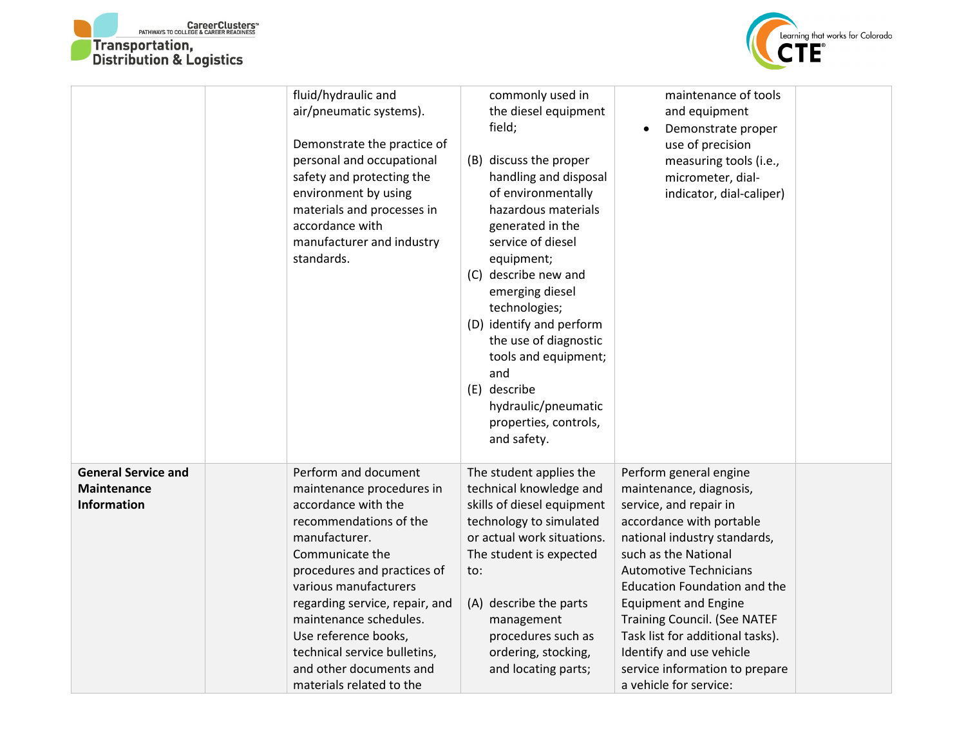



|                                                                        | fluid/hydraulic and<br>air/pneumatic systems).<br>Demonstrate the practice of<br>personal and occupational<br>safety and protecting the<br>environment by using<br>materials and processes in<br>accordance with<br>manufacturer and industry<br>standards.                                                                                                               | commonly used in<br>the diesel equipment<br>field;<br>(B) discuss the proper<br>handling and disposal<br>of environmentally<br>hazardous materials<br>generated in the<br>service of diesel<br>equipment;<br>(C) describe new and<br>emerging diesel<br>technologies;<br>(D) identify and perform<br>the use of diagnostic<br>tools and equipment;<br>and<br>(E) describe<br>hydraulic/pneumatic<br>properties, controls,<br>and safety. | maintenance of tools<br>and equipment<br>Demonstrate proper<br>$\bullet$<br>use of precision<br>measuring tools (i.e.,<br>micrometer, dial-<br>indicator, dial-caliper)                                                                                                                                                                                                                                                                   |  |
|------------------------------------------------------------------------|---------------------------------------------------------------------------------------------------------------------------------------------------------------------------------------------------------------------------------------------------------------------------------------------------------------------------------------------------------------------------|------------------------------------------------------------------------------------------------------------------------------------------------------------------------------------------------------------------------------------------------------------------------------------------------------------------------------------------------------------------------------------------------------------------------------------------|-------------------------------------------------------------------------------------------------------------------------------------------------------------------------------------------------------------------------------------------------------------------------------------------------------------------------------------------------------------------------------------------------------------------------------------------|--|
| <b>General Service and</b><br><b>Maintenance</b><br><b>Information</b> | Perform and document<br>maintenance procedures in<br>accordance with the<br>recommendations of the<br>manufacturer.<br>Communicate the<br>procedures and practices of<br>various manufacturers<br>regarding service, repair, and<br>maintenance schedules.<br>Use reference books,<br>technical service bulletins,<br>and other documents and<br>materials related to the | The student applies the<br>technical knowledge and<br>skills of diesel equipment<br>technology to simulated<br>or actual work situations.<br>The student is expected<br>to:<br>(A) describe the parts<br>management<br>procedures such as<br>ordering, stocking,<br>and locating parts;                                                                                                                                                  | Perform general engine<br>maintenance, diagnosis,<br>service, and repair in<br>accordance with portable<br>national industry standards,<br>such as the National<br><b>Automotive Technicians</b><br><b>Education Foundation and the</b><br><b>Equipment and Engine</b><br><b>Training Council. (See NATEF</b><br>Task list for additional tasks).<br>Identify and use vehicle<br>service information to prepare<br>a vehicle for service: |  |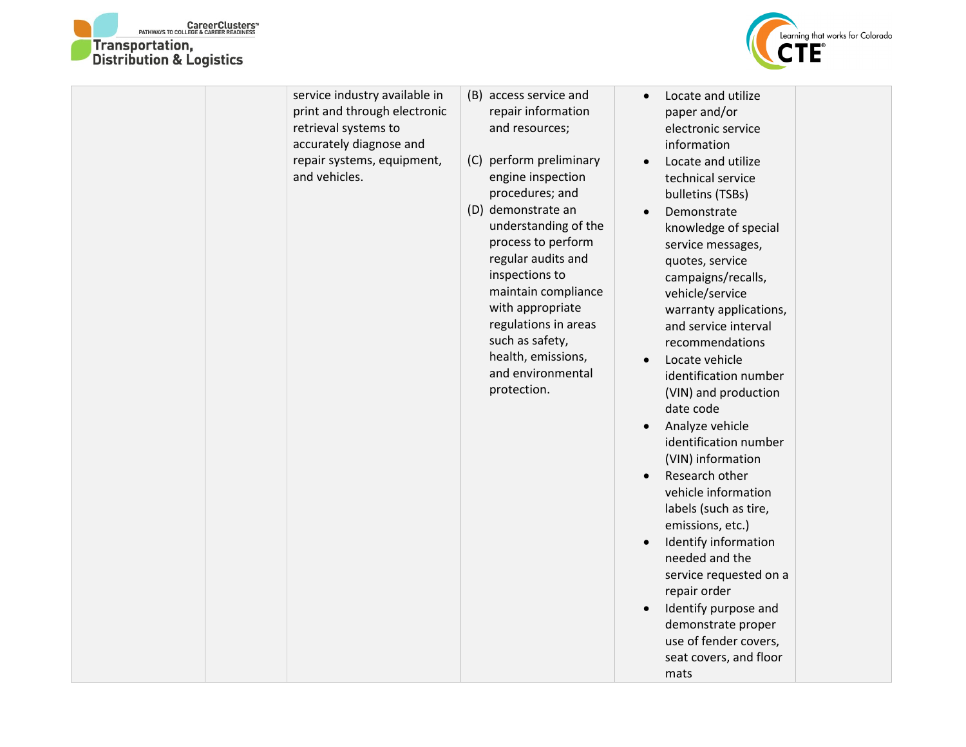

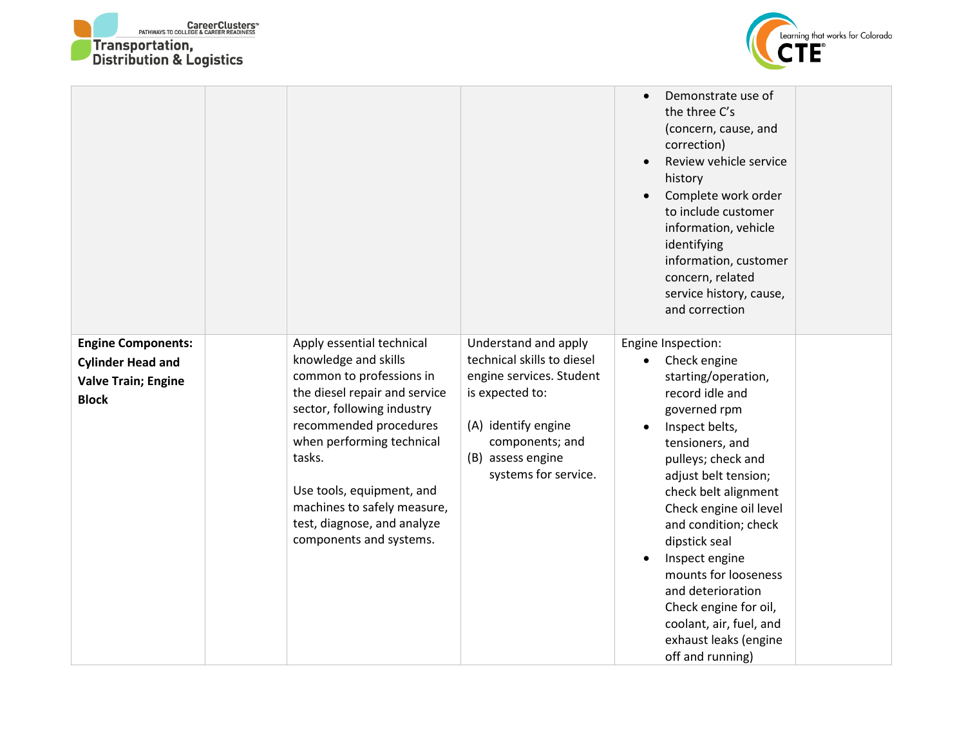



|                                                                                                     |                                                                                                                                                                                                                                                                                                                                     |                                                                                                                                                                                          | Demonstrate use of<br>$\bullet$<br>the three C's<br>(concern, cause, and<br>correction)<br>Review vehicle service<br>$\bullet$<br>history<br>Complete work order<br>$\bullet$<br>to include customer<br>information, vehicle<br>identifying<br>information, customer<br>concern, related<br>service history, cause,<br>and correction                                                                                                                                |  |
|-----------------------------------------------------------------------------------------------------|-------------------------------------------------------------------------------------------------------------------------------------------------------------------------------------------------------------------------------------------------------------------------------------------------------------------------------------|------------------------------------------------------------------------------------------------------------------------------------------------------------------------------------------|----------------------------------------------------------------------------------------------------------------------------------------------------------------------------------------------------------------------------------------------------------------------------------------------------------------------------------------------------------------------------------------------------------------------------------------------------------------------|--|
| <b>Engine Components:</b><br><b>Cylinder Head and</b><br><b>Valve Train; Engine</b><br><b>Block</b> | Apply essential technical<br>knowledge and skills<br>common to professions in<br>the diesel repair and service<br>sector, following industry<br>recommended procedures<br>when performing technical<br>tasks.<br>Use tools, equipment, and<br>machines to safely measure,<br>test, diagnose, and analyze<br>components and systems. | Understand and apply<br>technical skills to diesel<br>engine services. Student<br>is expected to:<br>(A) identify engine<br>components; and<br>(B) assess engine<br>systems for service. | Engine Inspection:<br>Check engine<br>$\bullet$<br>starting/operation,<br>record idle and<br>governed rpm<br>Inspect belts,<br>$\bullet$<br>tensioners, and<br>pulleys; check and<br>adjust belt tension;<br>check belt alignment<br>Check engine oil level<br>and condition; check<br>dipstick seal<br>Inspect engine<br>mounts for looseness<br>and deterioration<br>Check engine for oil,<br>coolant, air, fuel, and<br>exhaust leaks (engine<br>off and running) |  |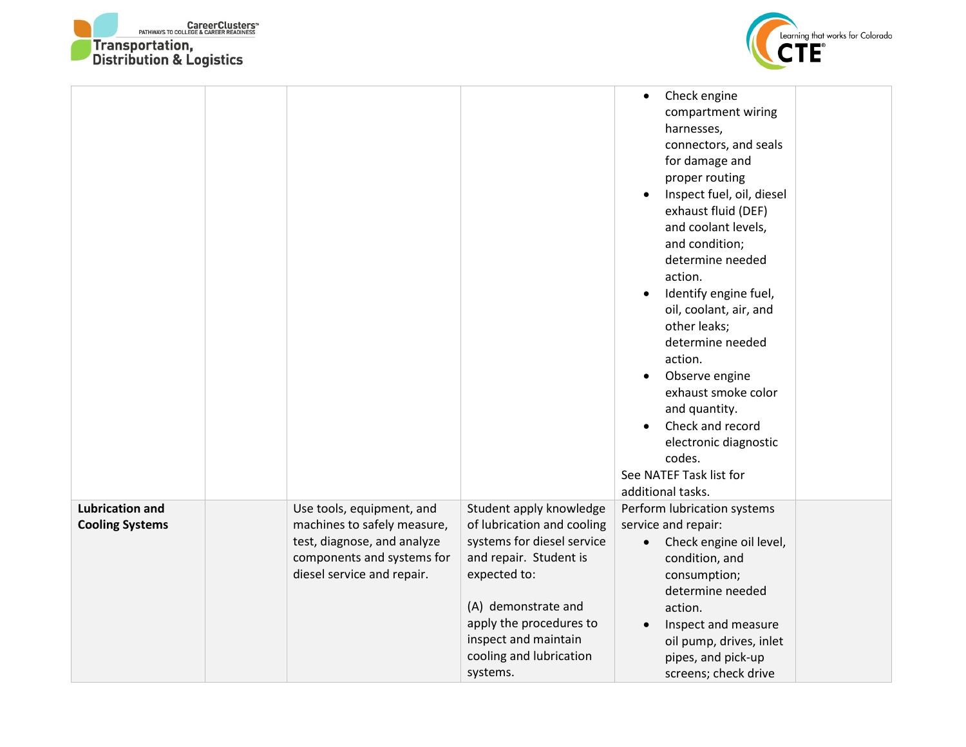



|                                                  |                                                                                                                                                     |                                                                                                                                                                                                         | Check engine<br>$\bullet$<br>compartment wiring<br>harnesses,<br>connectors, and seals<br>for damage and<br>proper routing<br>Inspect fuel, oil, diesel<br>$\bullet$<br>exhaust fluid (DEF)<br>and coolant levels,<br>and condition;<br>determine needed<br>action.<br>Identify engine fuel,<br>$\bullet$<br>oil, coolant, air, and<br>other leaks;<br>determine needed<br>action.<br>Observe engine<br>$\bullet$<br>exhaust smoke color<br>and quantity.<br>Check and record<br>electronic diagnostic<br>codes.<br>See NATEF Task list for<br>additional tasks. |
|--------------------------------------------------|-----------------------------------------------------------------------------------------------------------------------------------------------------|---------------------------------------------------------------------------------------------------------------------------------------------------------------------------------------------------------|------------------------------------------------------------------------------------------------------------------------------------------------------------------------------------------------------------------------------------------------------------------------------------------------------------------------------------------------------------------------------------------------------------------------------------------------------------------------------------------------------------------------------------------------------------------|
| <b>Lubrication and</b><br><b>Cooling Systems</b> | Use tools, equipment, and<br>machines to safely measure,<br>test, diagnose, and analyze<br>components and systems for<br>diesel service and repair. | Student apply knowledge<br>of lubrication and cooling<br>systems for diesel service<br>and repair. Student is<br>expected to:<br>(A) demonstrate and<br>apply the procedures to<br>inspect and maintain | Perform lubrication systems<br>service and repair:<br>Check engine oil level,<br>$\bullet$<br>condition, and<br>consumption;<br>determine needed<br>action.<br>Inspect and measure<br>$\bullet$<br>oil pump, drives, inlet                                                                                                                                                                                                                                                                                                                                       |
|                                                  |                                                                                                                                                     | cooling and lubrication<br>systems.                                                                                                                                                                     | pipes, and pick-up<br>screens; check drive                                                                                                                                                                                                                                                                                                                                                                                                                                                                                                                       |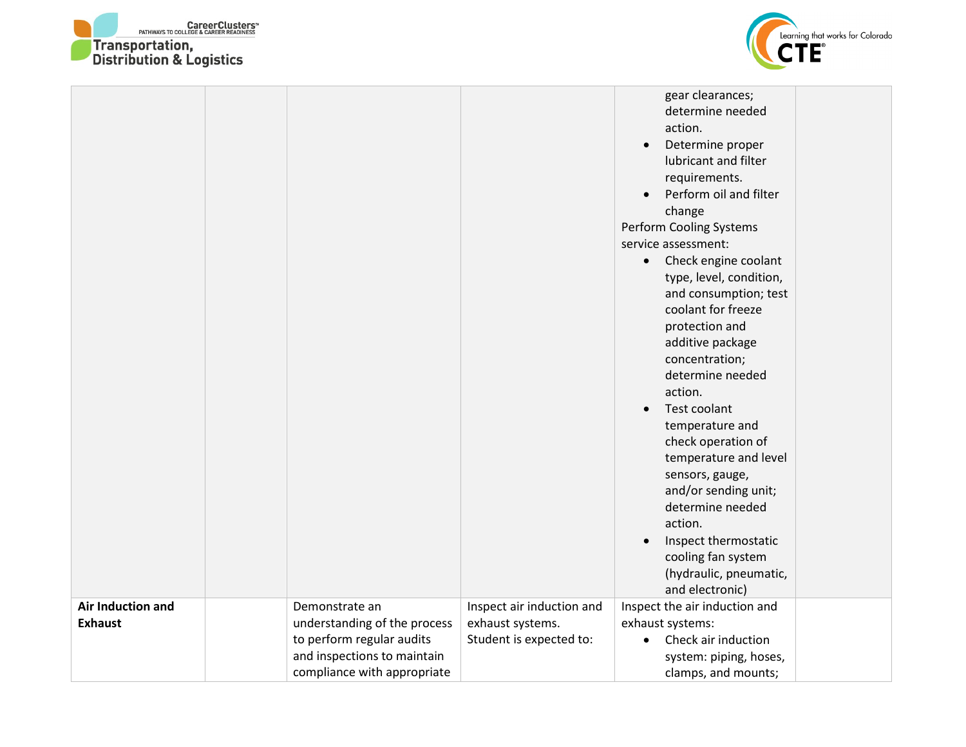



|                                            |                                                                                                                                           |                                                                          | gear clearances;<br>determine needed<br>action.<br>Determine proper<br>$\bullet$<br>lubricant and filter<br>requirements.<br>Perform oil and filter<br>change<br>Perform Cooling Systems<br>service assessment:<br>Check engine coolant<br>$\bullet$<br>type, level, condition,<br>and consumption; test<br>coolant for freeze<br>protection and<br>additive package<br>concentration;<br>determine needed<br>action.<br>Test coolant<br>$\bullet$<br>temperature and<br>check operation of<br>temperature and level<br>sensors, gauge,<br>and/or sending unit;<br>determine needed<br>action.<br>Inspect thermostatic<br>$\bullet$<br>cooling fan system<br>(hydraulic, pneumatic,<br>and electronic) |  |
|--------------------------------------------|-------------------------------------------------------------------------------------------------------------------------------------------|--------------------------------------------------------------------------|--------------------------------------------------------------------------------------------------------------------------------------------------------------------------------------------------------------------------------------------------------------------------------------------------------------------------------------------------------------------------------------------------------------------------------------------------------------------------------------------------------------------------------------------------------------------------------------------------------------------------------------------------------------------------------------------------------|--|
| <b>Air Induction and</b><br><b>Exhaust</b> | Demonstrate an<br>understanding of the process<br>to perform regular audits<br>and inspections to maintain<br>compliance with appropriate | Inspect air induction and<br>exhaust systems.<br>Student is expected to: | Inspect the air induction and<br>exhaust systems:<br>Check air induction<br>$\bullet$<br>system: piping, hoses,<br>clamps, and mounts;                                                                                                                                                                                                                                                                                                                                                                                                                                                                                                                                                                 |  |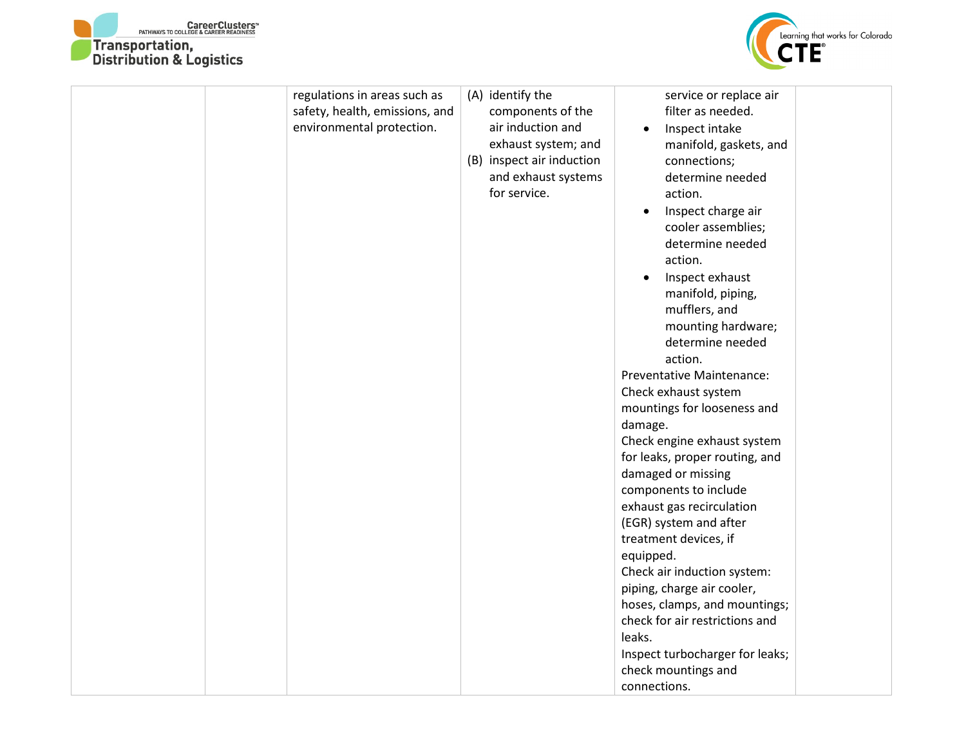



| regulations in areas such as<br>safety, health, emissions, and<br>environmental protection. | (A) identify the<br>components of the<br>air induction and<br>exhaust system; and<br>(B) inspect air induction<br>and exhaust systems<br>for service. | service or replace air<br>filter as needed.<br>Inspect intake<br>manifold, gaskets, and<br>connections;<br>determine needed<br>action.<br>Inspect charge air<br>$\bullet$<br>cooler assemblies;<br>determine needed<br>action.<br>Inspect exhaust<br>$\bullet$<br>manifold, piping,<br>mufflers, and<br>mounting hardware;<br>determine needed<br>action.<br><b>Preventative Maintenance:</b><br>Check exhaust system<br>mountings for looseness and<br>damage.<br>Check engine exhaust system<br>for leaks, proper routing, and<br>damaged or missing<br>components to include<br>exhaust gas recirculation<br>(EGR) system and after<br>treatment devices, if<br>equipped.<br>Check air induction system:<br>piping, charge air cooler,<br>hoses, clamps, and mountings;<br>check for air restrictions and<br>leaks.<br>Inspect turbocharger for leaks;<br>check mountings and<br>connections. |  |
|---------------------------------------------------------------------------------------------|-------------------------------------------------------------------------------------------------------------------------------------------------------|--------------------------------------------------------------------------------------------------------------------------------------------------------------------------------------------------------------------------------------------------------------------------------------------------------------------------------------------------------------------------------------------------------------------------------------------------------------------------------------------------------------------------------------------------------------------------------------------------------------------------------------------------------------------------------------------------------------------------------------------------------------------------------------------------------------------------------------------------------------------------------------------------|--|
|---------------------------------------------------------------------------------------------|-------------------------------------------------------------------------------------------------------------------------------------------------------|--------------------------------------------------------------------------------------------------------------------------------------------------------------------------------------------------------------------------------------------------------------------------------------------------------------------------------------------------------------------------------------------------------------------------------------------------------------------------------------------------------------------------------------------------------------------------------------------------------------------------------------------------------------------------------------------------------------------------------------------------------------------------------------------------------------------------------------------------------------------------------------------------|--|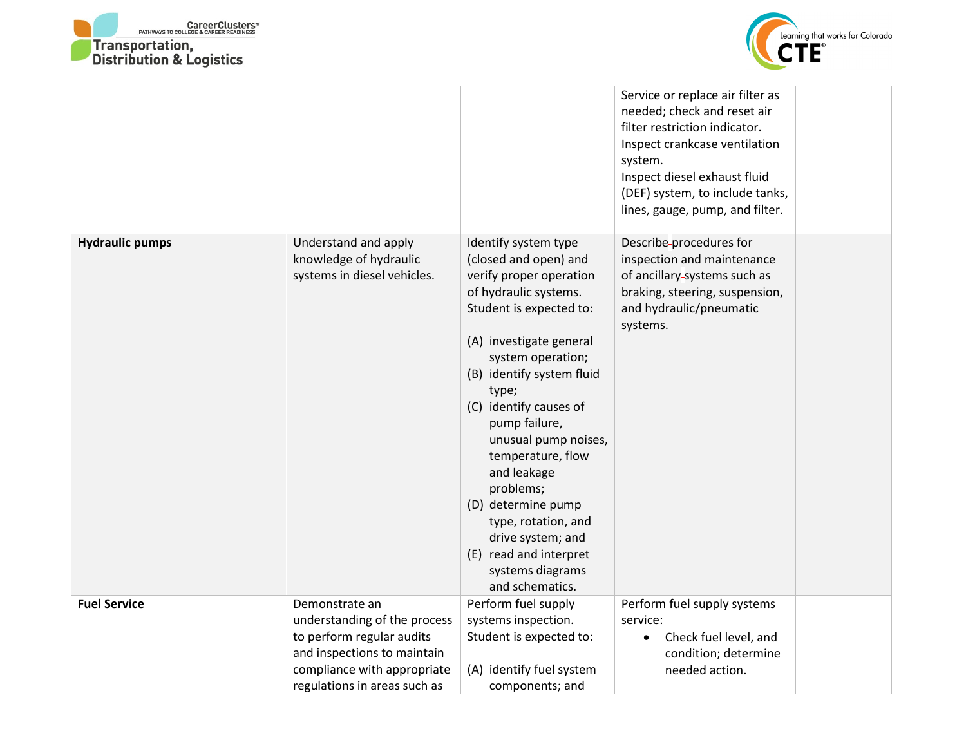



|                        |                                                                                                                                                                           |                                                                                                                                                                                                                                                                                                                                                                                                                                                                           | Service or replace air filter as<br>needed; check and reset air<br>filter restriction indicator.<br>Inspect crankcase ventilation<br>system.<br>Inspect diesel exhaust fluid<br>(DEF) system, to include tanks,<br>lines, gauge, pump, and filter. |  |
|------------------------|---------------------------------------------------------------------------------------------------------------------------------------------------------------------------|---------------------------------------------------------------------------------------------------------------------------------------------------------------------------------------------------------------------------------------------------------------------------------------------------------------------------------------------------------------------------------------------------------------------------------------------------------------------------|----------------------------------------------------------------------------------------------------------------------------------------------------------------------------------------------------------------------------------------------------|--|
| <b>Hydraulic pumps</b> | Understand and apply<br>knowledge of hydraulic<br>systems in diesel vehicles.                                                                                             | Identify system type<br>(closed and open) and<br>verify proper operation<br>of hydraulic systems.<br>Student is expected to:<br>(A) investigate general<br>system operation;<br>(B) identify system fluid<br>type;<br>(C) identify causes of<br>pump failure,<br>unusual pump noises,<br>temperature, flow<br>and leakage<br>problems;<br>(D) determine pump<br>type, rotation, and<br>drive system; and<br>(E) read and interpret<br>systems diagrams<br>and schematics. | Describe-procedures for<br>inspection and maintenance<br>of ancillary-systems such as<br>braking, steering, suspension,<br>and hydraulic/pneumatic<br>systems.                                                                                     |  |
| <b>Fuel Service</b>    | Demonstrate an<br>understanding of the process<br>to perform regular audits<br>and inspections to maintain<br>compliance with appropriate<br>regulations in areas such as | Perform fuel supply<br>systems inspection.<br>Student is expected to:<br>(A) identify fuel system<br>components; and                                                                                                                                                                                                                                                                                                                                                      | Perform fuel supply systems<br>service:<br>Check fuel level, and<br>condition; determine<br>needed action.                                                                                                                                         |  |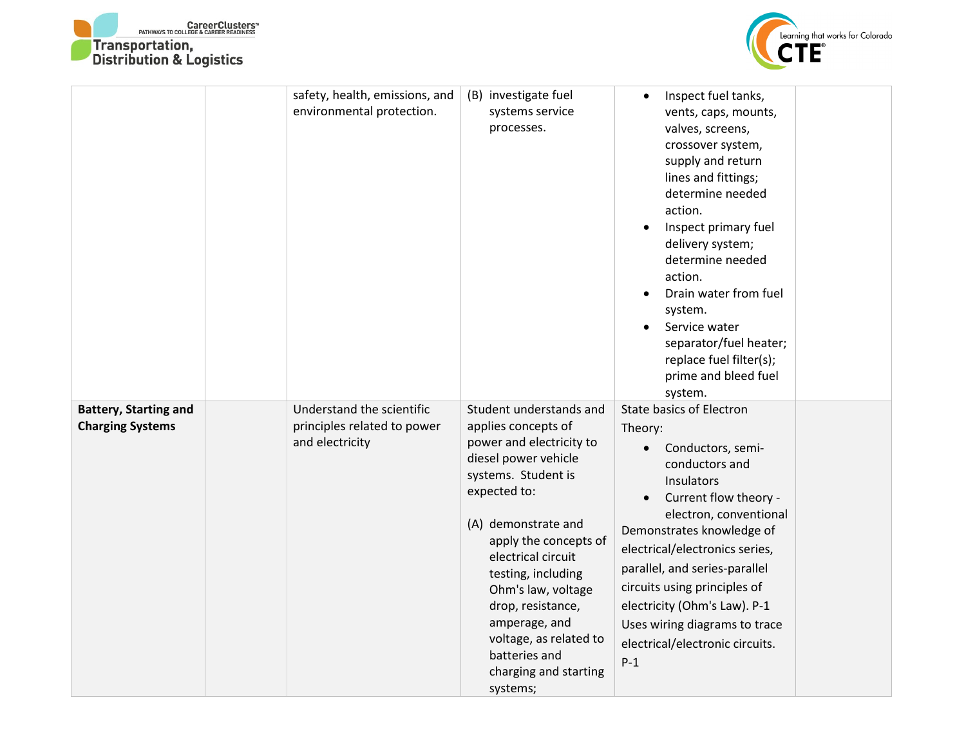



|                                                         | safety, health, emissions, and<br>environmental protection.                 | (B) investigate fuel<br>systems service<br>processes.                                                                                                                                                                                                                                                                                                                             | Inspect fuel tanks,<br>$\bullet$<br>vents, caps, mounts,<br>valves, screens,<br>crossover system,<br>supply and return<br>lines and fittings;<br>determine needed<br>action.<br>Inspect primary fuel<br>$\bullet$<br>delivery system;<br>determine needed<br>action.<br>Drain water from fuel<br>system.<br>Service water<br>separator/fuel heater;<br>replace fuel filter(s);<br>prime and bleed fuel<br>system.         |
|---------------------------------------------------------|-----------------------------------------------------------------------------|-----------------------------------------------------------------------------------------------------------------------------------------------------------------------------------------------------------------------------------------------------------------------------------------------------------------------------------------------------------------------------------|---------------------------------------------------------------------------------------------------------------------------------------------------------------------------------------------------------------------------------------------------------------------------------------------------------------------------------------------------------------------------------------------------------------------------|
| <b>Battery, Starting and</b><br><b>Charging Systems</b> | Understand the scientific<br>principles related to power<br>and electricity | Student understands and<br>applies concepts of<br>power and electricity to<br>diesel power vehicle<br>systems. Student is<br>expected to:<br>(A) demonstrate and<br>apply the concepts of<br>electrical circuit<br>testing, including<br>Ohm's law, voltage<br>drop, resistance,<br>amperage, and<br>voltage, as related to<br>batteries and<br>charging and starting<br>systems; | <b>State basics of Electron</b><br>Theory:<br>Conductors, semi-<br>$\bullet$<br>conductors and<br>Insulators<br>Current flow theory -<br>$\bullet$<br>electron, conventional<br>Demonstrates knowledge of<br>electrical/electronics series,<br>parallel, and series-parallel<br>circuits using principles of<br>electricity (Ohm's Law). P-1<br>Uses wiring diagrams to trace<br>electrical/electronic circuits.<br>$P-1$ |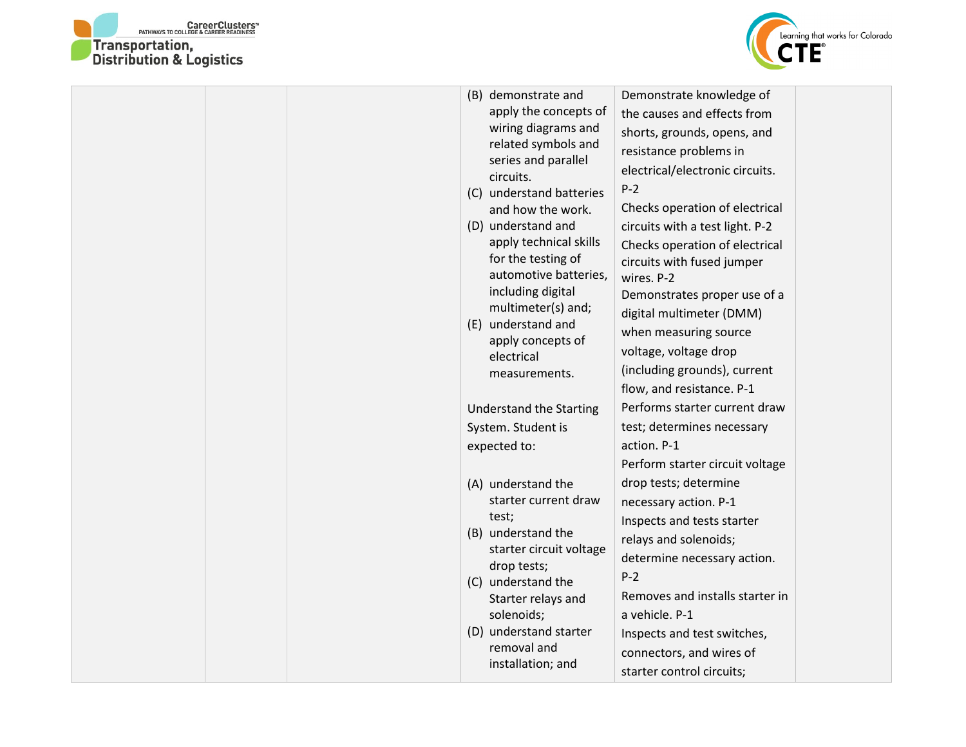



|  |             | (B) demonstrate and<br>apply the concepts of<br>wiring diagrams and<br>related symbols and<br>series and parallel<br>circuits.<br>(C) understand batteries<br>and how the work.<br>(D) understand and<br>apply technical skills<br>for the testing of<br>automotive batteries,<br>including digital<br>multimeter(s) and;<br>(E) understand and<br>apply concepts of<br>electrical<br>measurements. | Demonstrate knowledge of<br>the causes and effects from<br>shorts, grounds, opens, and<br>resistance problems in<br>electrical/electronic circuits.<br>$P-2$<br>Checks operation of electrical<br>circuits with a test light. P-2<br>Checks operation of electrical<br>circuits with fused jumper<br>wires. P-2<br>Demonstrates proper use of a<br>digital multimeter (DMM)<br>when measuring source<br>voltage, voltage drop<br>(including grounds), current<br>flow, and resistance. P-1 |  |
|--|-------------|-----------------------------------------------------------------------------------------------------------------------------------------------------------------------------------------------------------------------------------------------------------------------------------------------------------------------------------------------------------------------------------------------------|--------------------------------------------------------------------------------------------------------------------------------------------------------------------------------------------------------------------------------------------------------------------------------------------------------------------------------------------------------------------------------------------------------------------------------------------------------------------------------------------|--|
|  |             | <b>Understand the Starting</b>                                                                                                                                                                                                                                                                                                                                                                      | Performs starter current draw                                                                                                                                                                                                                                                                                                                                                                                                                                                              |  |
|  |             | System. Student is                                                                                                                                                                                                                                                                                                                                                                                  | test; determines necessary                                                                                                                                                                                                                                                                                                                                                                                                                                                                 |  |
|  |             | expected to:                                                                                                                                                                                                                                                                                                                                                                                        | action. P-1                                                                                                                                                                                                                                                                                                                                                                                                                                                                                |  |
|  |             |                                                                                                                                                                                                                                                                                                                                                                                                     | Perform starter circuit voltage                                                                                                                                                                                                                                                                                                                                                                                                                                                            |  |
|  |             | (A) understand the                                                                                                                                                                                                                                                                                                                                                                                  | drop tests; determine                                                                                                                                                                                                                                                                                                                                                                                                                                                                      |  |
|  |             | starter current draw<br>test;<br>(B) understand the                                                                                                                                                                                                                                                                                                                                                 | necessary action. P-1                                                                                                                                                                                                                                                                                                                                                                                                                                                                      |  |
|  |             |                                                                                                                                                                                                                                                                                                                                                                                                     | Inspects and tests starter                                                                                                                                                                                                                                                                                                                                                                                                                                                                 |  |
|  |             | starter circuit voltage                                                                                                                                                                                                                                                                                                                                                                             | relays and solenoids;<br>determine necessary action.                                                                                                                                                                                                                                                                                                                                                                                                                                       |  |
|  |             | drop tests;                                                                                                                                                                                                                                                                                                                                                                                         | $P-2$                                                                                                                                                                                                                                                                                                                                                                                                                                                                                      |  |
|  |             | (C) understand the<br>Starter relays and                                                                                                                                                                                                                                                                                                                                                            | Removes and installs starter in                                                                                                                                                                                                                                                                                                                                                                                                                                                            |  |
|  |             | solenoids;                                                                                                                                                                                                                                                                                                                                                                                          | a vehicle. P-1                                                                                                                                                                                                                                                                                                                                                                                                                                                                             |  |
|  |             | (D) understand starter                                                                                                                                                                                                                                                                                                                                                                              | Inspects and test switches,                                                                                                                                                                                                                                                                                                                                                                                                                                                                |  |
|  | removal and | connectors, and wires of                                                                                                                                                                                                                                                                                                                                                                            |                                                                                                                                                                                                                                                                                                                                                                                                                                                                                            |  |
|  |             | installation; and                                                                                                                                                                                                                                                                                                                                                                                   | starter control circuits;                                                                                                                                                                                                                                                                                                                                                                                                                                                                  |  |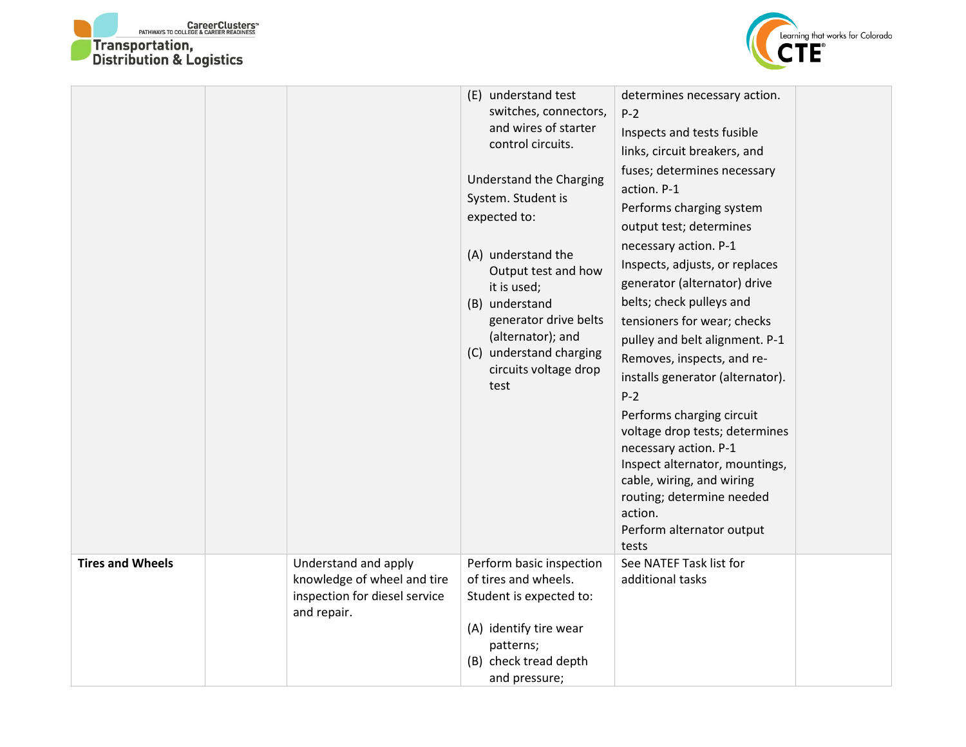



|                         |                                                                                                     | (E) understand test<br>switches, connectors,<br>and wires of starter<br>control circuits.<br>Understand the Charging<br>System. Student is<br>expected to:<br>(A) understand the<br>Output test and how<br>it is used;<br>(B) understand<br>generator drive belts<br>(alternator); and<br>(C) understand charging<br>circuits voltage drop<br>test | determines necessary action.<br>$P-2$<br>Inspects and tests fusible<br>links, circuit breakers, and<br>fuses; determines necessary<br>action. P-1<br>Performs charging system<br>output test; determines<br>necessary action. P-1<br>Inspects, adjusts, or replaces<br>generator (alternator) drive<br>belts; check pulleys and<br>tensioners for wear; checks<br>pulley and belt alignment. P-1<br>Removes, inspects, and re-<br>installs generator (alternator).<br>$P-2$<br>Performs charging circuit<br>voltage drop tests; determines<br>necessary action. P-1<br>Inspect alternator, mountings,<br>cable, wiring, and wiring<br>routing; determine needed<br>action.<br>Perform alternator output<br>tests |  |
|-------------------------|-----------------------------------------------------------------------------------------------------|----------------------------------------------------------------------------------------------------------------------------------------------------------------------------------------------------------------------------------------------------------------------------------------------------------------------------------------------------|------------------------------------------------------------------------------------------------------------------------------------------------------------------------------------------------------------------------------------------------------------------------------------------------------------------------------------------------------------------------------------------------------------------------------------------------------------------------------------------------------------------------------------------------------------------------------------------------------------------------------------------------------------------------------------------------------------------|--|
| <b>Tires and Wheels</b> | Understand and apply<br>knowledge of wheel and tire<br>inspection for diesel service<br>and repair. | Perform basic inspection<br>of tires and wheels.<br>Student is expected to:<br>(A) identify tire wear<br>patterns;<br>(B) check tread depth<br>and pressure;                                                                                                                                                                                       | See NATEF Task list for<br>additional tasks                                                                                                                                                                                                                                                                                                                                                                                                                                                                                                                                                                                                                                                                      |  |